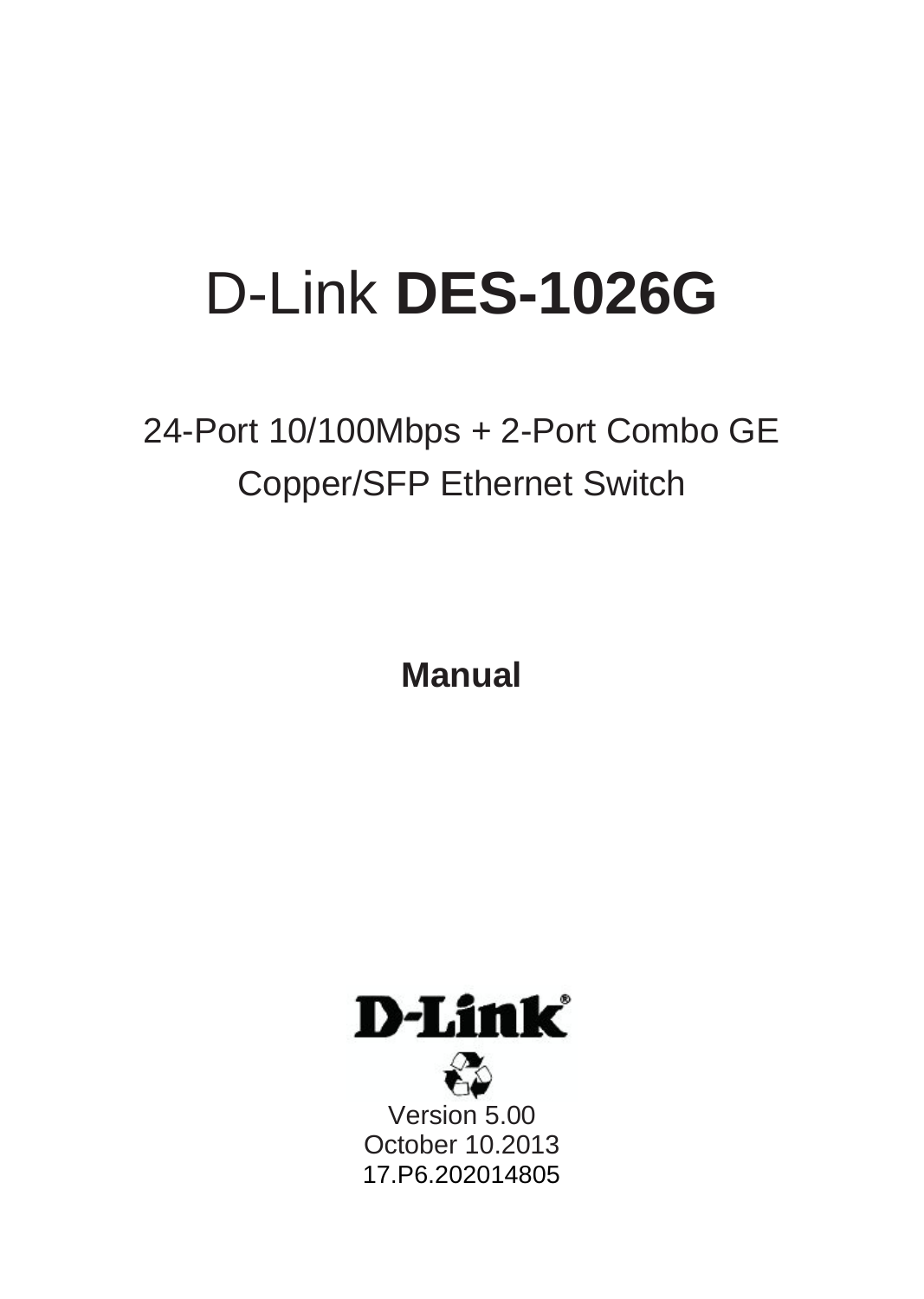# D-Link **DES-1026G**

24-Port 10/100Mbps + 2-Port Combo GE Copper/SFP Ethernet Switch

**Manual** 

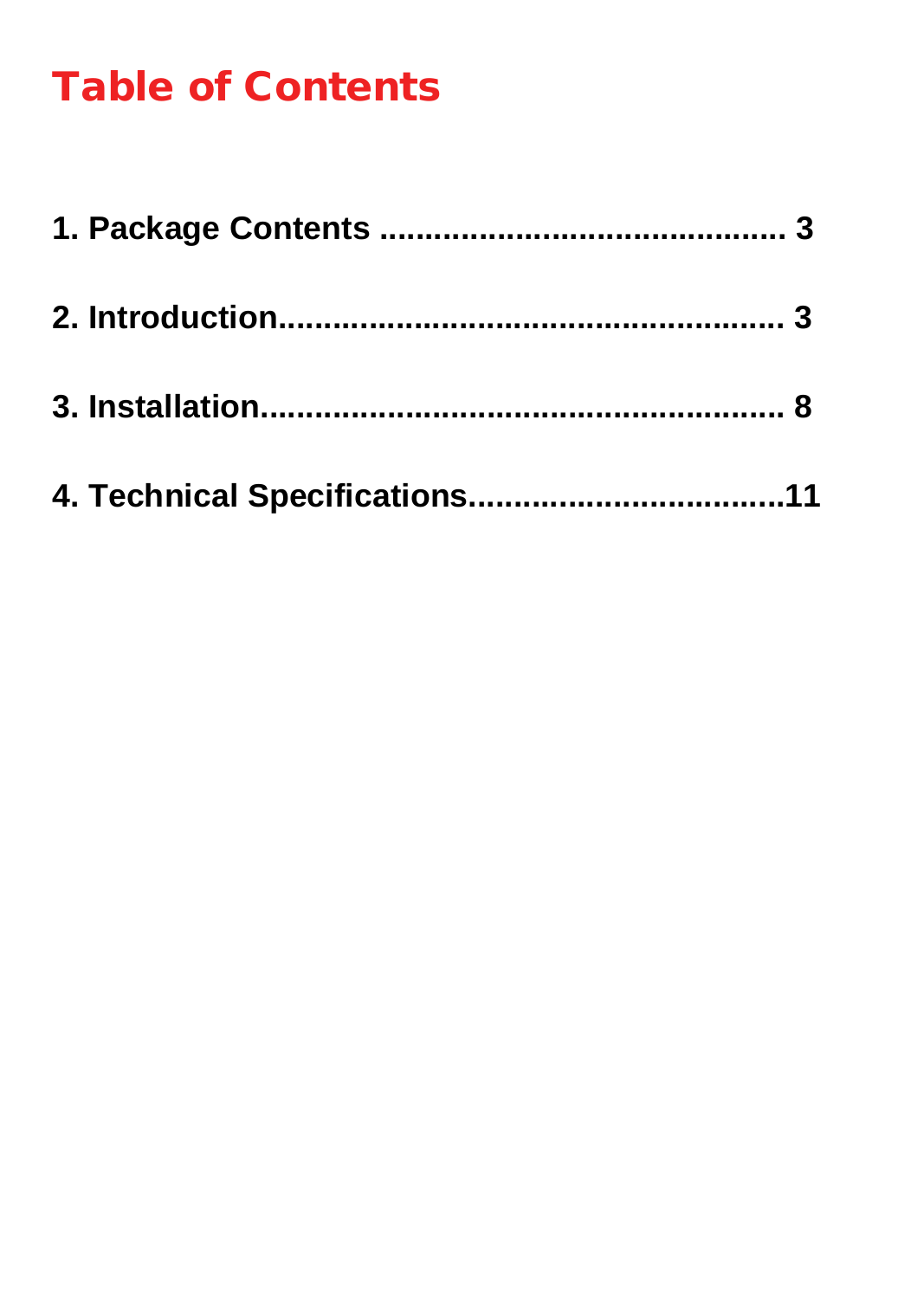# Table of Contents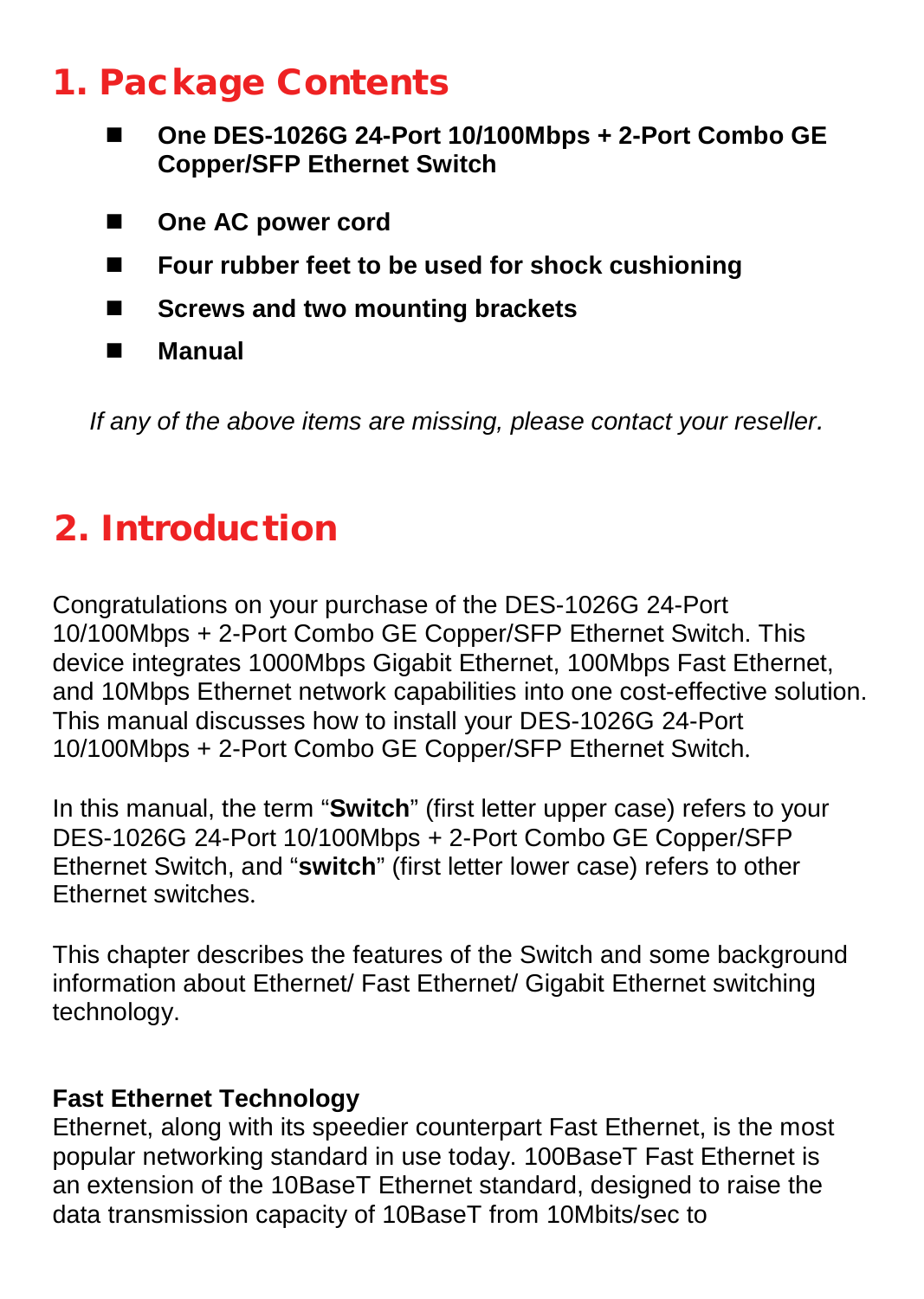### 1. Package Contents

- **One DES-1026G 24-Port 10/100Mbps + 2-Port Combo GE Copper/SFP Ethernet Switch**
- One AC power cord
- **Four rubber feet to be used for shock cushioning**
- Screws and two mounting brackets
- **Manual**

*If any of the above items are missing, please contact your reseller.* 

# 2. Introduction

Congratulations on your purchase of the DES-1026G 24-Port 10/100Mbps + 2-Port Combo GE Copper/SFP Ethernet Switch. This device integrates 1000Mbps Gigabit Ethernet, 100Mbps Fast Ethernet, and 10Mbps Ethernet network capabilities into one cost-effective solution. This manual discusses how to install your DES-1026G 24-Port 10/100Mbps + 2-Port Combo GE Copper/SFP Ethernet Switch.

In this manual, the term "**Switch**" (first letter upper case) refers to your DES-1026G 24-Port 10/100Mbps + 2-Port Combo GE Copper/SFP Ethernet Switch, and "**switch**" (first letter lower case) refers to other Ethernet switches.

This chapter describes the features of the Switch and some background information about Ethernet/ Fast Ethernet/ Gigabit Ethernet switching technology.

#### **Fast Ethernet Technology**

Ethernet, along with its speedier counterpart Fast Ethernet, is the most popular networking standard in use today. 100BaseT Fast Ethernet is an extension of the 10BaseT Ethernet standard, designed to raise the data transmission capacity of 10BaseT from 10Mbits/sec to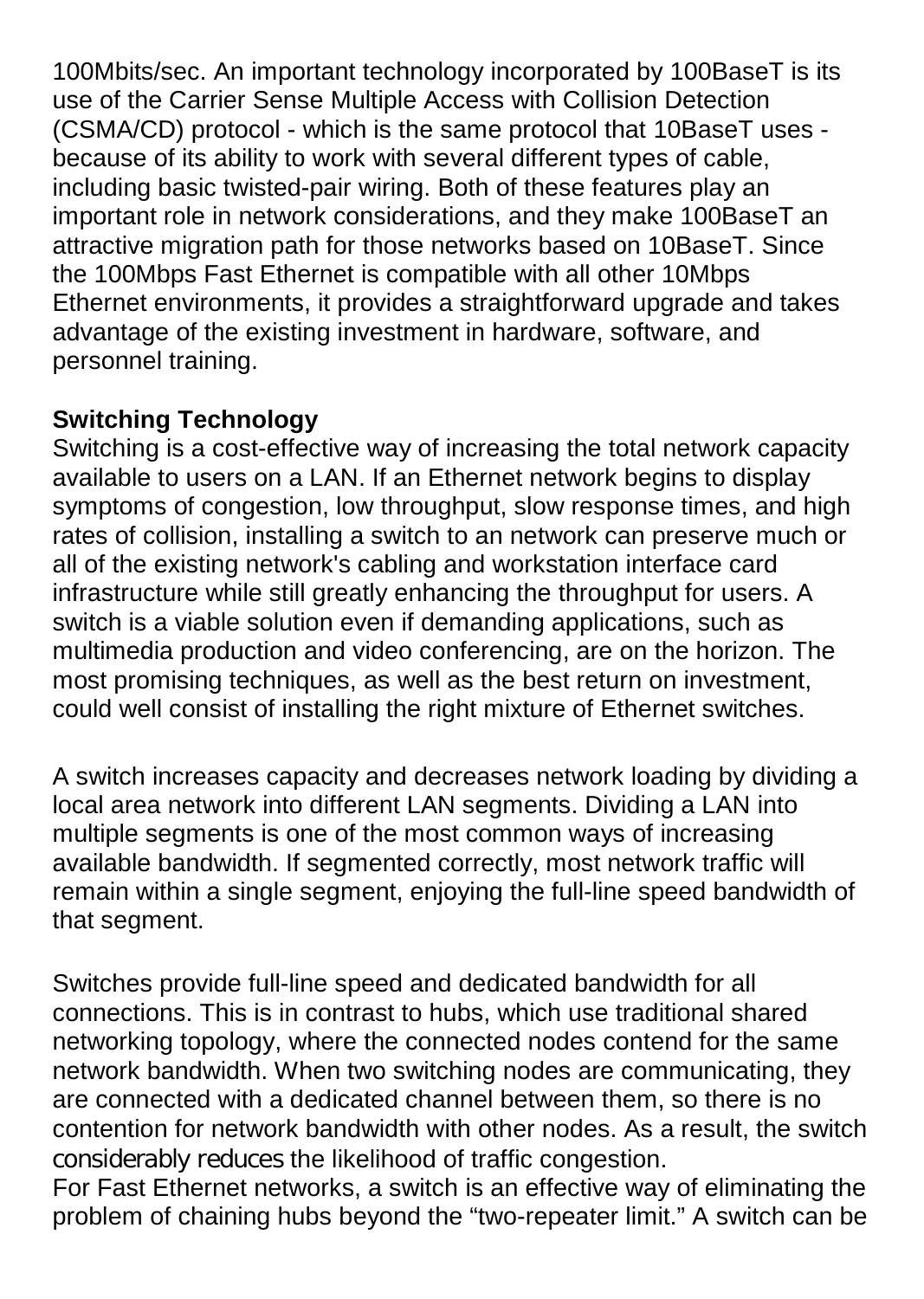100Mbits/sec. An important technology incorporated by 100BaseT is its use of the Carrier Sense Multiple Access with Collision Detection (CSMA/CD) protocol - which is the same protocol that 10BaseT uses because of its ability to work with several different types of cable, including basic twisted-pair wiring. Both of these features play an important role in network considerations, and they make 100BaseT an attractive migration path for those networks based on 10BaseT. Since the 100Mbps Fast Ethernet is compatible with all other 10Mbps Ethernet environments, it provides a straightforward upgrade and takes advantage of the existing investment in hardware, software, and personnel training.

#### **Switching Technology**

Switching is a cost-effective way of increasing the total network capacity available to users on a LAN. If an Ethernet network begins to display symptoms of congestion, low throughput, slow response times, and high rates of collision, installing a switch to an network can preserve much or all of the existing network's cabling and workstation interface card infrastructure while still greatly enhancing the throughput for users. A switch is a viable solution even if demanding applications, such as multimedia production and video conferencing, are on the horizon. The most promising techniques, as well as the best return on investment, could well consist of installing the right mixture of Ethernet switches.

A switch increases capacity and decreases network loading by dividing a local area network into different LAN segments. Dividing a LAN into multiple segments is one of the most common ways of increasing available bandwidth. If segmented correctly, most network traffic will remain within a single segment, enjoying the full-line speed bandwidth of that segment.

Switches provide full-line speed and dedicated bandwidth for all connections. This is in contrast to hubs, which use traditional shared networking topology, where the connected nodes contend for the same network bandwidth. When two switching nodes are communicating, they are connected with a dedicated channel between them, so there is no contention for network bandwidth with other nodes. As a result, the switch considerably reduces the likelihood of traffic congestion.

For Fast Ethernet networks, a switch is an effective way of eliminating the problem of chaining hubs beyond the "two-repeater limit." A switch can be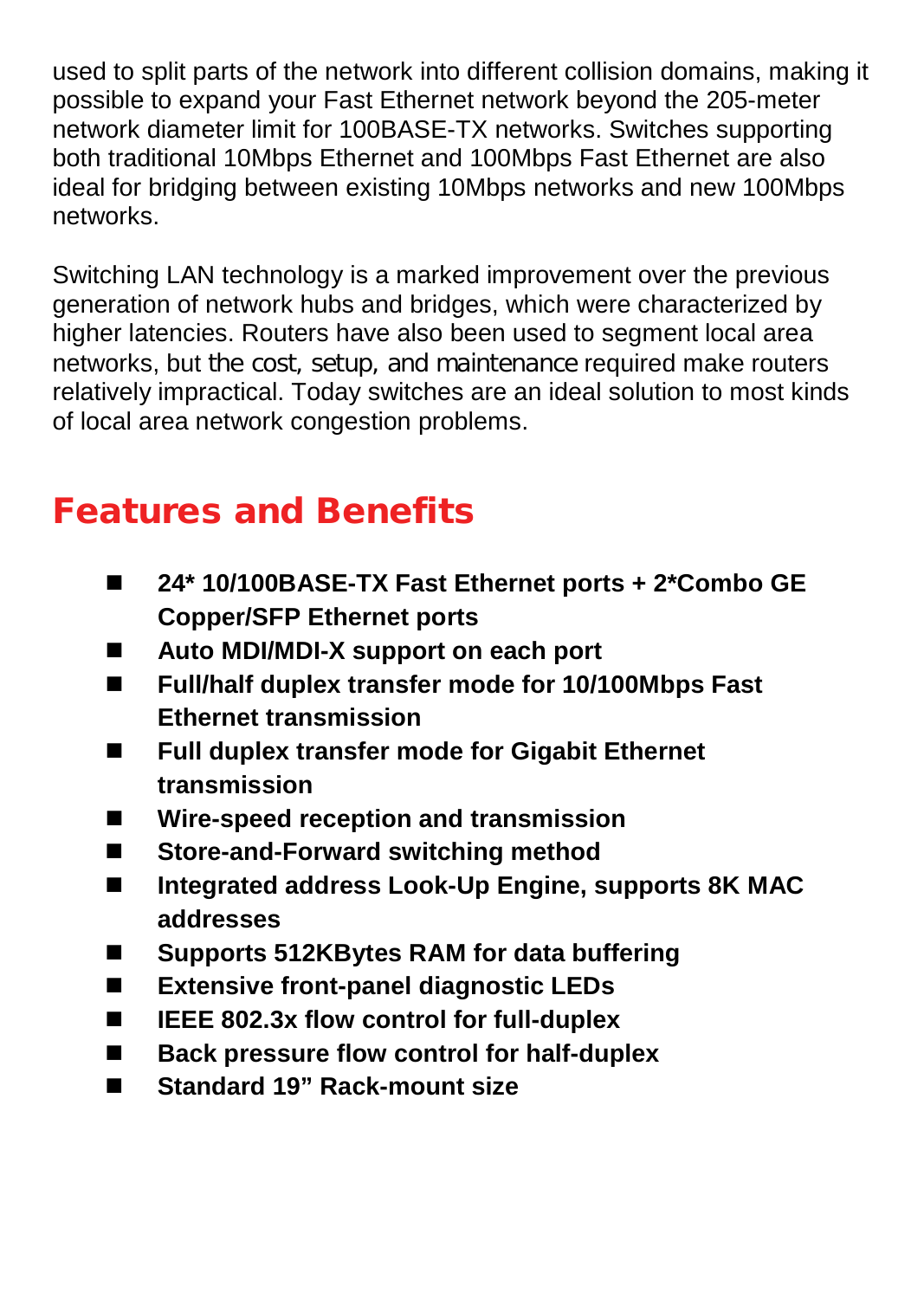used to split parts of the network into different collision domains, making it possible to expand your Fast Ethernet network beyond the 205-meter network diameter limit for 100BASE-TX networks. Switches supporting both traditional 10Mbps Ethernet and 100Mbps Fast Ethernet are also ideal for bridging between existing 10Mbps networks and new 100Mbps networks.

Switching LAN technology is a marked improvement over the previous generation of network hubs and bridges, which were characterized by higher latencies. Routers have also been used to segment local area networks, but the cost, setup, and maintenance required make routers relatively impractical. Today switches are an ideal solution to most kinds of local area network congestion problems.

# Features and Benefits

- **24\* 10/100BASE-TX Fast Ethernet ports + 2\*Combo GE Copper/SFP Ethernet ports**
- **Auto MDI/MDI-X support on each port**
- **Full/half duplex transfer mode for 10/100Mbps Fast Ethernet transmission**
- Full duplex transfer mode for Gigabit Ethernet **transmission**
- **Wire-speed reception and transmission**
- Store-and-Forward switching method
- **Integrated address Look-Up Engine, supports 8K MAC addresses**
- Supports 512KBytes RAM for data buffering
- **Extensive front-panel diagnostic LEDs**
- **IEEE 802.3x flow control for full-duplex**
- Back pressure flow control for half-duplex
- Standard 19" Rack-mount size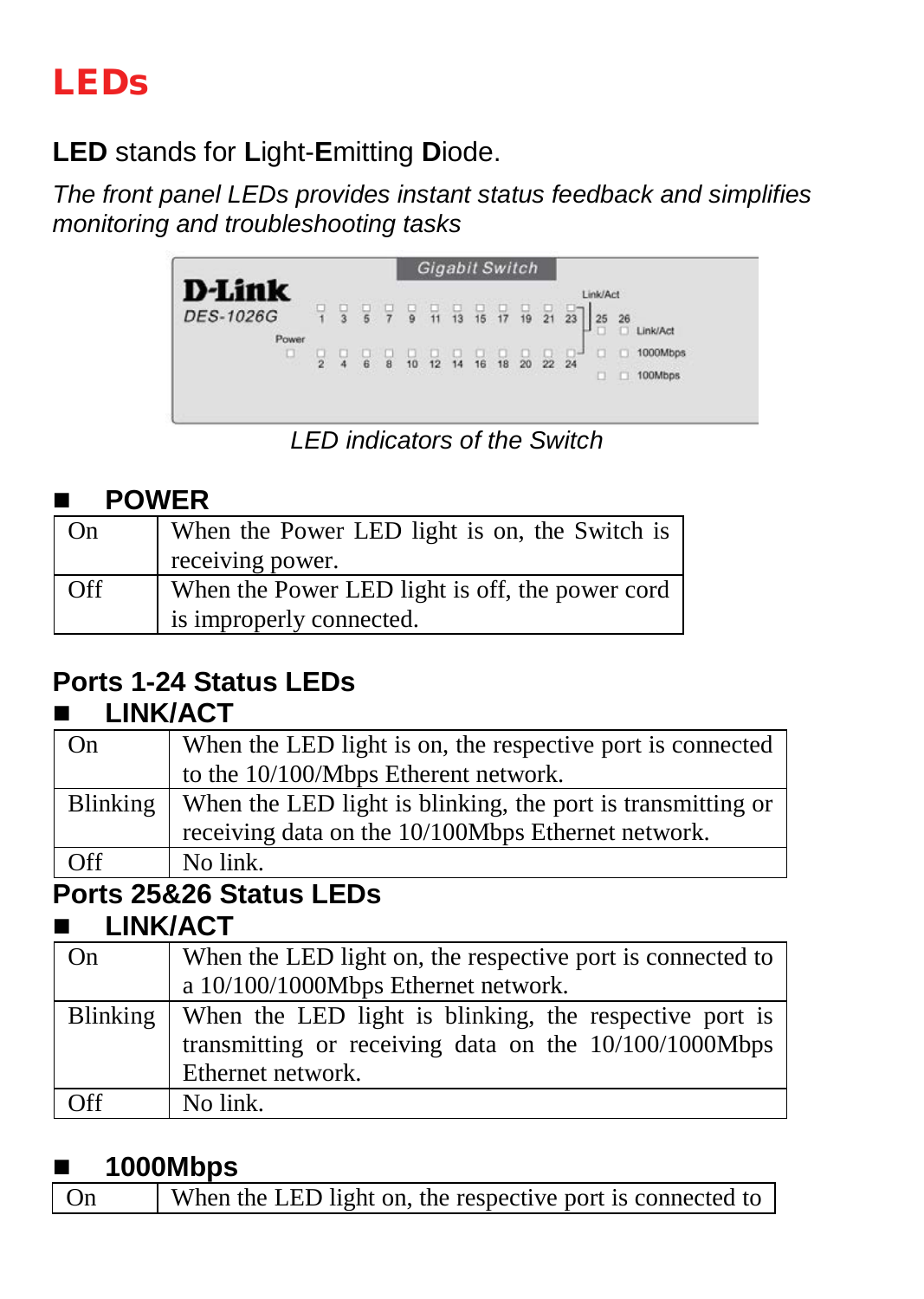# LEDs

**LED** stands for **L**ight-**E**mitting **D**iode.

*The front panel LEDs provides instant status feedback and simplifies monitoring and troubleshooting tasks*



*LED indicators of the Switch*

#### **POWER**

| On  | When the Power LED light is on, the Switch is   |
|-----|-------------------------------------------------|
|     | receiving power.                                |
| Off | When the Power LED light is off, the power cord |
|     | is improperly connected.                        |

### **Ports 1-24 Status LEDs**

#### **LINK/ACT**

| When the LED light is on, the respective port is connected  |
|-------------------------------------------------------------|
| to the 10/100/Mbps Etherent network.                        |
| When the LED light is blinking, the port is transmitting or |
| receiving data on the 10/100Mbps Ethernet network.          |
| No link.                                                    |
|                                                             |

# **Ports 25&26 Status LEDs**

#### **LINK/ACT**

| On  | When the LED light on, the respective port is connected to        |  |
|-----|-------------------------------------------------------------------|--|
|     | a 10/100/1000Mbps Ethernet network.                               |  |
|     | Blinking   When the LED light is blinking, the respective port is |  |
|     | transmitting or receiving data on the 10/100/1000Mbps             |  |
|     | Ethernet network.                                                 |  |
| Off | No link.                                                          |  |

#### **1000Mbps**

| When the LED light on, the respective port is connected to<br>$\overline{On}$ |
|-------------------------------------------------------------------------------|
|-------------------------------------------------------------------------------|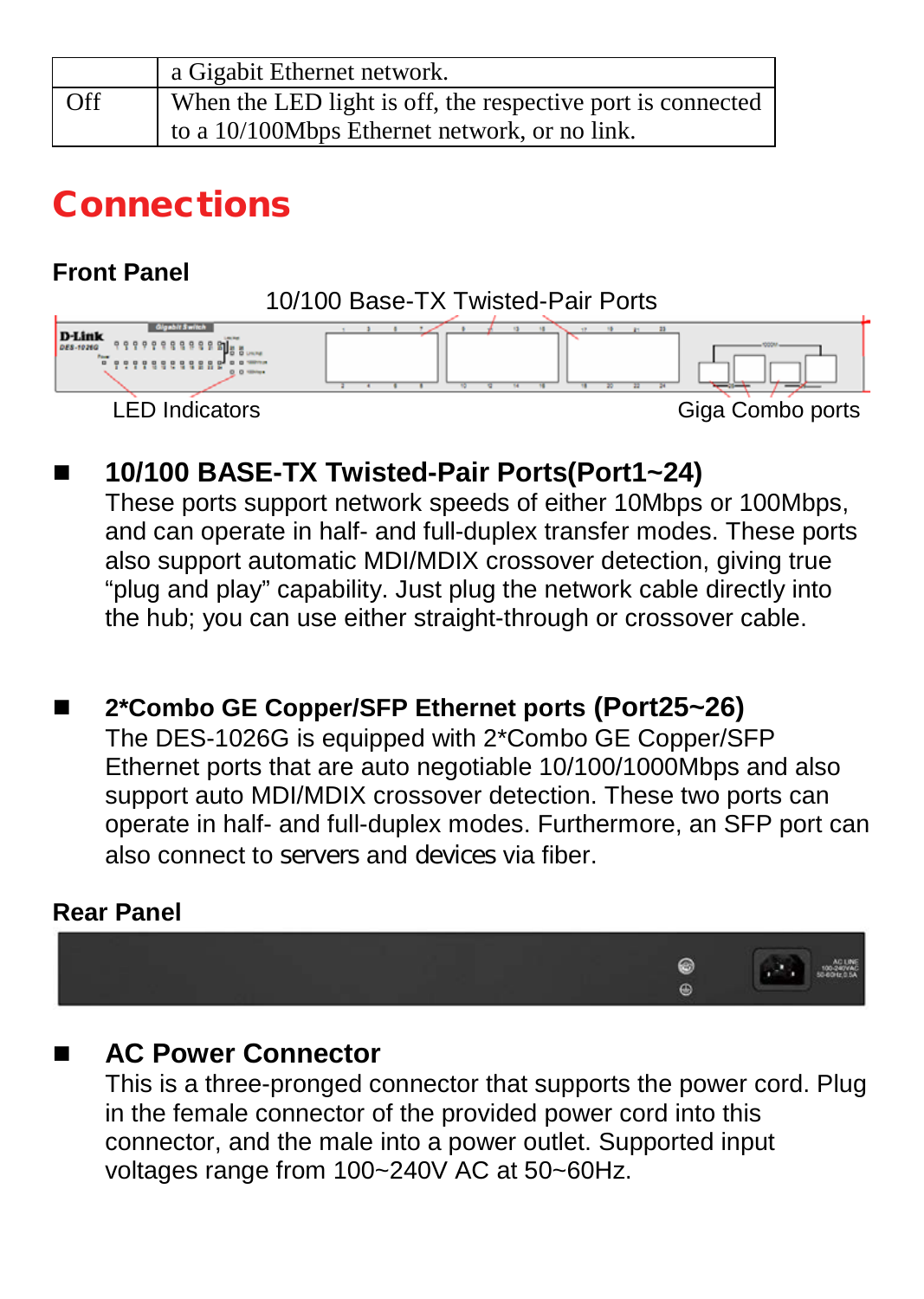|     | a Gigabit Ethernet network.                                 |
|-----|-------------------------------------------------------------|
| Off | When the LED light is off, the respective port is connected |
|     | to a 10/100Mbps Ethernet network, or no link.               |

### Connections

**Front Panel**



#### **10/100 BASE-TX Twisted-Pair Ports(Port1~24)**

These ports support network speeds of either 10Mbps or 100Mbps, and can operate in half- and full-duplex transfer modes. These ports also support automatic MDI/MDIX crossover detection, giving true "plug and play" capability. Just plug the network cable directly into the hub; you can use either straight-through or crossover cable.

 **2\*Combo GE Copper/SFP Ethernet ports (Port25~26)** The DES-1026G is equipped with 2\*Combo GE Copper/SFP Ethernet ports that are auto negotiable 10/100/1000Mbps and also support auto MDI/MDIX crossover detection. These two ports can operate in half- and full-duplex modes. Furthermore, an SFP port can also connect to servers and devices via fiber.

#### **Rear Panel**



#### **AC Power Connector**

This is a three-pronged connector that supports the power cord. Plug in the female connector of the provided power cord into this connector, and the male into a power outlet. Supported input voltages range from 100~240V AC at 50~60Hz.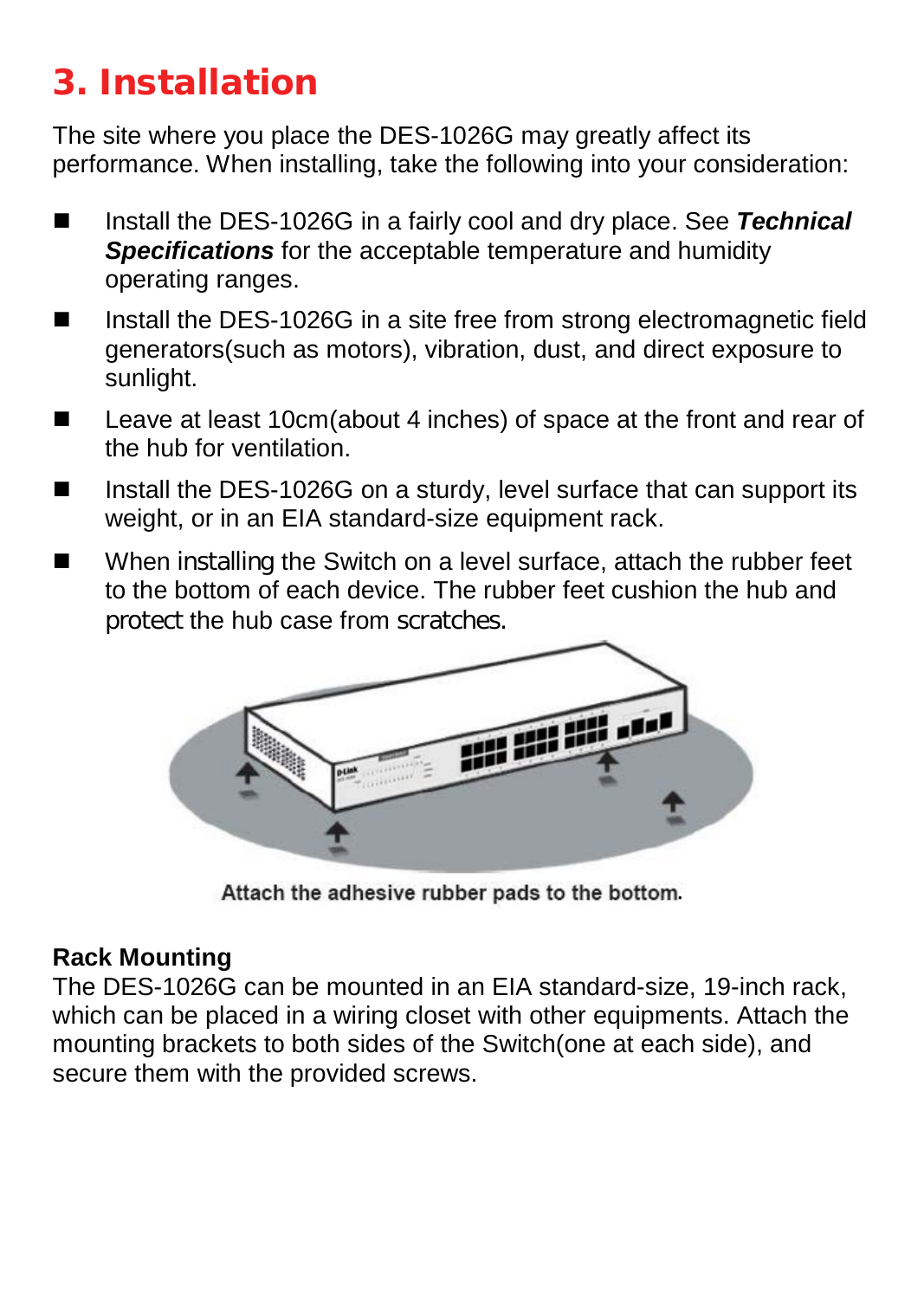# 3. Installation

The site where you place the DES-1026G may greatly affect its performance. When installing, take the following into your consideration:

- Install the DES-1026G in a fairly cool and dry place. See **Technical** *Specifications* for the acceptable temperature and humidity operating ranges.
- Install the DES-1026G in a site free from strong electromagnetic field generators(such as motors), vibration, dust, and direct exposure to sunlight.
- Leave at least 10cm(about 4 inches) of space at the front and rear of the hub for ventilation.
- Install the DES-1026G on a sturdy, level surface that can support its weight, or in an EIA standard-size equipment rack.
- When installing the Switch on a level surface, attach the rubber feet to the bottom of each device. The rubber feet cushion the hub and protect the hub case from scratches.



Attach the adhesive rubber pads to the bottom.

#### **Rack Mounting**

The DES-1026G can be mounted in an EIA standard-size, 19-inch rack, which can be placed in a wiring closet with other equipments. Attach the mounting brackets to both sides of the Switch(one at each side), and secure them with the provided screws.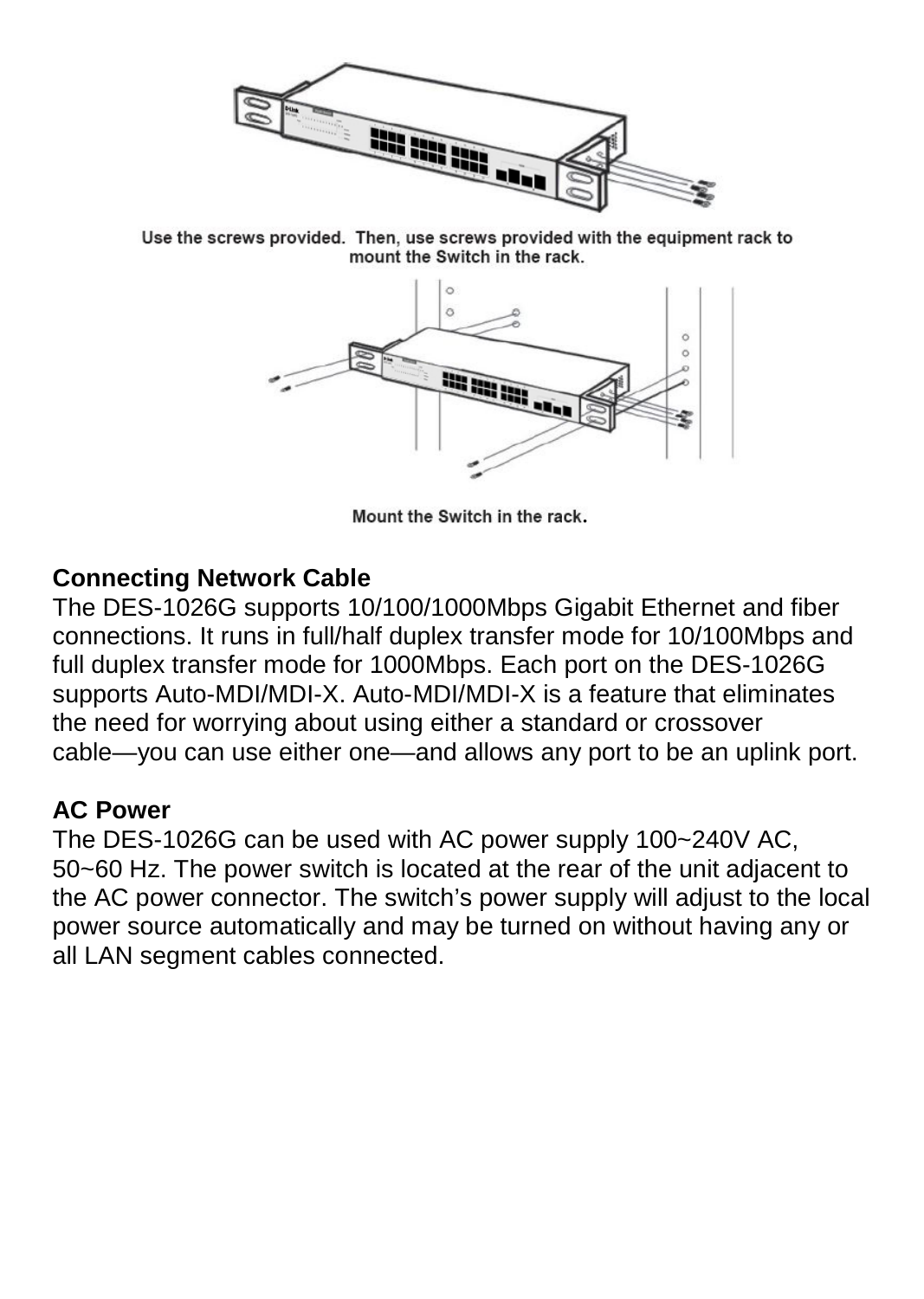

Use the screws provided. Then, use screws provided with the equipment rack to mount the Switch in the rack.



Mount the Switch in the rack.

#### **Connecting Network Cable**

The DES-1026G supports 10/100/1000Mbps Gigabit Ethernet and fiber connections. It runs in full/half duplex transfer mode for 10/100Mbps and full duplex transfer mode for 1000Mbps. Each port on the DES-1026G supports Auto-MDI/MDI-X. Auto-MDI/MDI-X is a feature that eliminates the need for worrying about using either a standard or crossover cable—you can use either one—and allows any port to be an uplink port.

#### **AC Power**

The DES-1026G can be used with AC power supply 100~240V AC, 50~60 Hz. The power switch is located at the rear of the unit adjacent to the AC power connector. The switch's power supply will adjust to the local power source automatically and may be turned on without having any or all LAN segment cables connected.